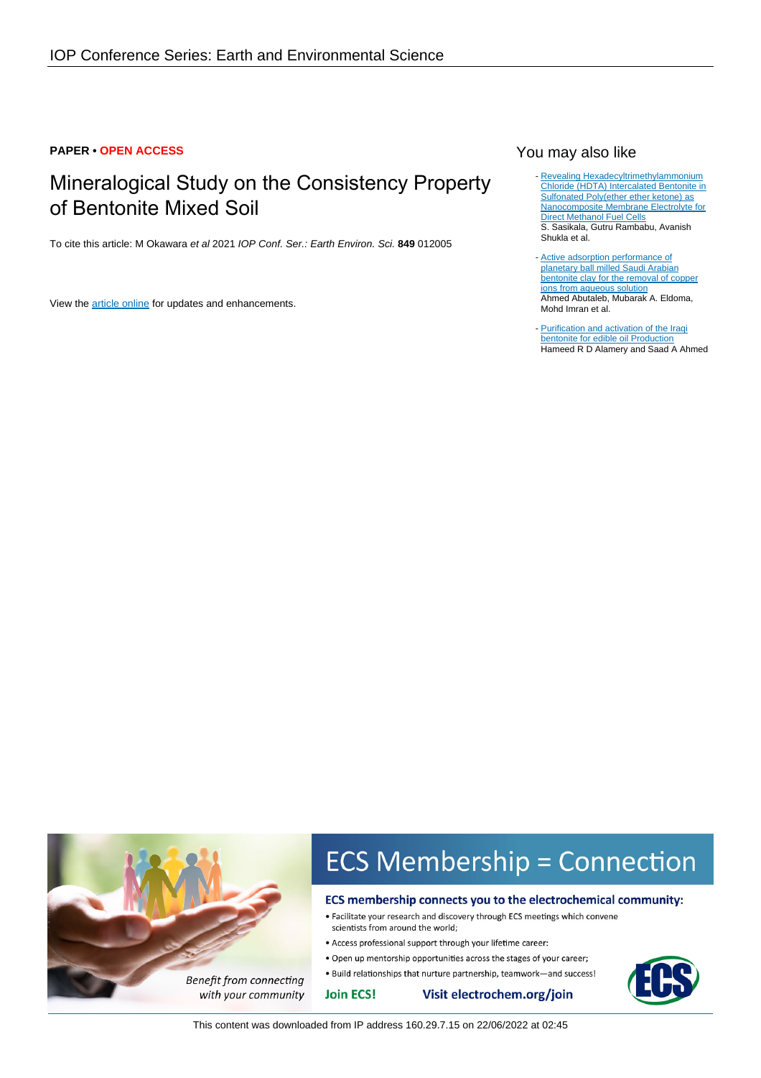## **PAPER • OPEN ACCESS**

# Mineralogical Study on the Consistency Property of Bentonite Mixed Soil

To cite this article: M Okawara et al 2021 IOP Conf. Ser.: Earth Environ. Sci. **849** 012005

View the [article online](https://doi.org/10.1088/1755-1315/849/1/012005) for updates and enhancements.

## You may also like

- [Revealing Hexadecyltrimethylammonium](/article/10.1149/2.1191816jes) [Chloride \(HDTA\) Intercalated Bentonite in](/article/10.1149/2.1191816jes) [Sulfonated Poly\(ether ether ketone\) as](/article/10.1149/2.1191816jes) [Nanocomposite Membrane Electrolyte for](/article/10.1149/2.1191816jes) **[Direct Methanol Fuel Cells](/article/10.1149/2.1191816jes)** S. Sasikala, Gutru Rambabu, Avanish Shukla et al.
- [Active adsorption performance of](/article/10.1209/0295-5075/ac1960) [planetary ball milled Saudi Arabian](/article/10.1209/0295-5075/ac1960) [bentonite clay for the removal of copper](/article/10.1209/0295-5075/ac1960) [ions from aqueous solution](/article/10.1209/0295-5075/ac1960) Ahmed Abutaleb, Mubarak A. Eldoma, Mohd Imran et al.
- [Purification and activation of the Iraqi](/article/10.1088/1757-899X/1090/1/012039) [bentonite for edible oil Production](/article/10.1088/1757-899X/1090/1/012039) **Hameed R D Alamery and Saad A Ahmed** -



- Access professional support through your lifetime career:
- . Open up mentorship opportunities across the stages of your career;
- . Build relationships that nurture partnership, teamwork-and success!

**Join ECS!** 



with your community

**Benefit from connecting**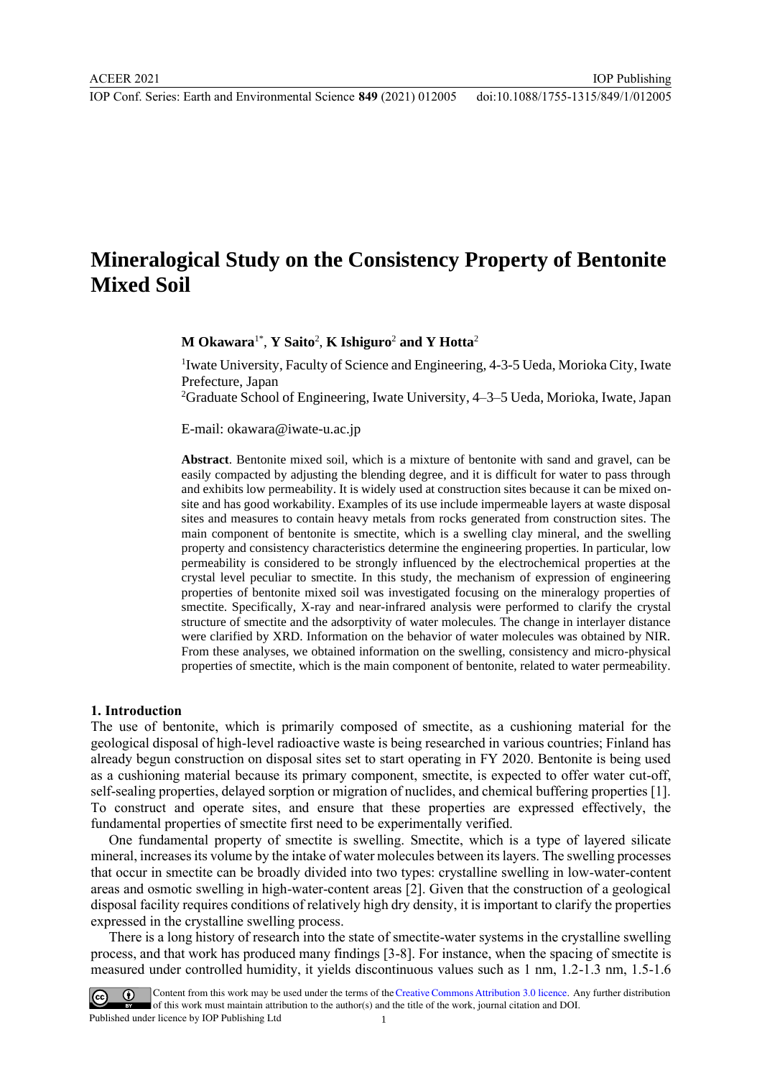IOP Conf. Series: Earth and Environmental Science **849** (2021) 012005 doi:10.1088/1755-1315/849/1/012005

IOP Publishing

## **Mineralogical Study on the Consistency Property of Bentonite Mixed Soil**

**M Okawara**1\* , **Y Saito**<sup>2</sup> , **K Ishiguro**<sup>2</sup> **and Y Hotta**<sup>2</sup>

<sup>1</sup>Iwate University, Faculty of Science and Engineering, 4-3-5 Ueda, Morioka City, Iwate Prefecture, Japan

<sup>2</sup>Graduate School of Engineering, Iwate University, 4–3–5 Ueda, Morioka, Iwate, Japan

E-mail: okawara@iwate-u.ac.jp

**Abstract**. Bentonite mixed soil, which is a mixture of bentonite with sand and gravel, can be easily compacted by adjusting the blending degree, and it is difficult for water to pass through and exhibits low permeability. It is widely used at construction sites because it can be mixed onsite and has good workability. Examples of its use include impermeable layers at waste disposal sites and measures to contain heavy metals from rocks generated from construction sites. The main component of bentonite is smectite, which is a swelling clay mineral, and the swelling property and consistency characteristics determine the engineering properties. In particular, low permeability is considered to be strongly influenced by the electrochemical properties at the crystal level peculiar to smectite. In this study, the mechanism of expression of engineering properties of bentonite mixed soil was investigated focusing on the mineralogy properties of smectite. Specifically, X-ray and near-infrared analysis were performed to clarify the crystal structure of smectite and the adsorptivity of water molecules. The change in interlayer distance were clarified by XRD. Information on the behavior of water molecules was obtained by NIR. From these analyses, we obtained information on the swelling, consistency and micro-physical properties of smectite, which is the main component of bentonite, related to water permeability.

## **1. Introduction**

The use of bentonite, which is primarily composed of smectite, as a cushioning material for the geological disposal of high-level radioactive waste is being researched in various countries; Finland has already begun construction on disposal sites set to start operating in FY 2020. Bentonite is being used as a cushioning material because its primary component, smectite, is expected to offer water cut-off, self-sealing properties, delayed sorption or migration of nuclides, and chemical buffering properties [1]. To construct and operate sites, and ensure that these properties are expressed effectively, the fundamental properties of smectite first need to be experimentally verified.

One fundamental property of smectite is swelling. Smectite, which is a type of layered silicate mineral, increases its volume by the intake of water molecules between its layers. The swelling processes that occur in smectite can be broadly divided into two types: crystalline swelling in low-water-content areas and osmotic swelling in high-water-content areas [2]. Given that the construction of a geological disposal facility requires conditions of relatively high dry density, it is important to clarify the properties expressed in the crystalline swelling process.

There is a long history of research into the state of smectite-water systems in the crystalline swelling process, and that work has produced many findings [3-8]. For instance, when the spacing of smectite is measured under controlled humidity, it yields discontinuous values such as 1 nm, 1.2-1.3 nm, 1.5-1.6

Content from this work may be used under the terms of the Creative Commons Attribution 3.0 licence. Any further distribution of this work must maintain attribution to the author(s) and the title of the work, journal citation and DOI. Published under licence by IOP Publishing Ltd 1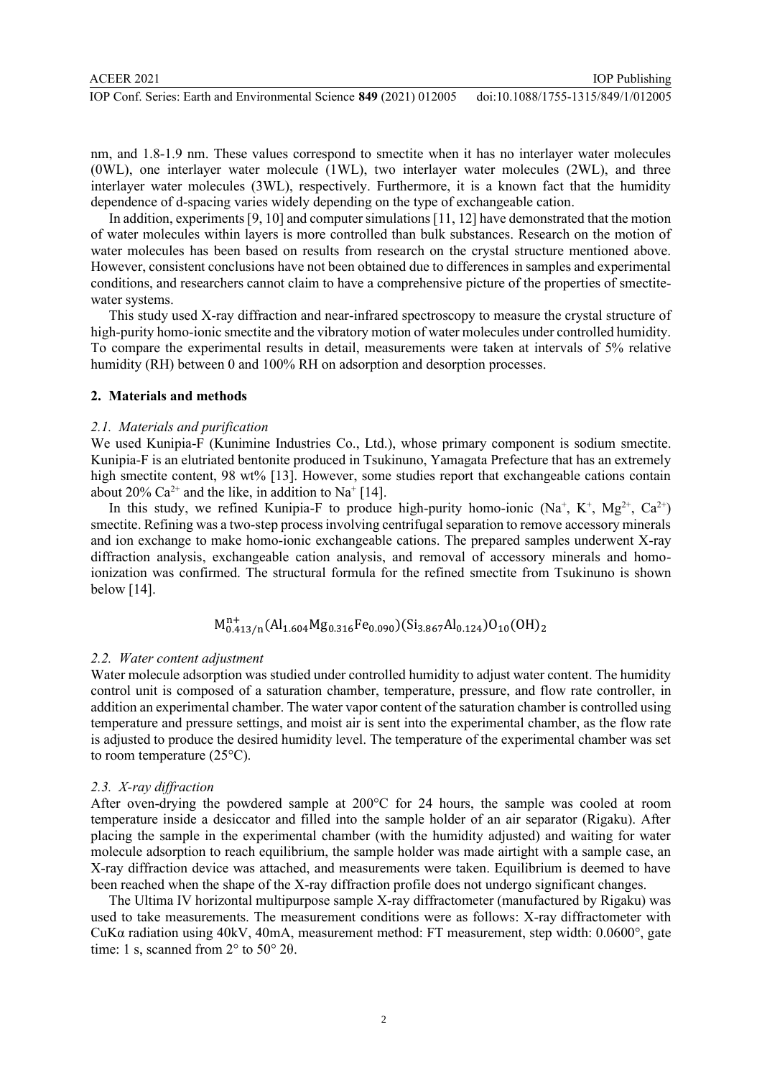IOP Publishing

nm, and 1.8-1.9 nm. These values correspond to smectite when it has no interlayer water molecules (0WL), one interlayer water molecule (1WL), two interlayer water molecules (2WL), and three interlayer water molecules (3WL), respectively. Furthermore, it is a known fact that the humidity dependence of d-spacing varies widely depending on the type of exchangeable cation.

In addition, experiments [9, 10] and computer simulations [11, 12] have demonstrated that the motion of water molecules within layers is more controlled than bulk substances. Research on the motion of water molecules has been based on results from research on the crystal structure mentioned above. However, consistent conclusions have not been obtained due to differences in samples and experimental conditions, and researchers cannot claim to have a comprehensive picture of the properties of smectitewater systems.

This study used X-ray diffraction and near-infrared spectroscopy to measure the crystal structure of high-purity homo-ionic smectite and the vibratory motion of water molecules under controlled humidity. To compare the experimental results in detail, measurements were taken at intervals of 5% relative humidity (RH) between 0 and 100% RH on adsorption and desorption processes.

## **2. Materials and methods**

## *2.1. Materials and purification*

We used Kunipia-F (Kunimine Industries Co., Ltd.), whose primary component is sodium smectite. Kunipia-F is an elutriated bentonite produced in Tsukinuno, Yamagata Prefecture that has an extremely high smectite content, 98 wt% [13]. However, some studies report that exchangeable cations contain about 20% Ca<sup>2+</sup> and the like, in addition to  $Na^+$  [14].

In this study, we refined Kunipia-F to produce high-purity homo-ionic  $(Na^+, K^+, Mg^{2+}, Ca^{2+})$ smectite. Refining was a two-step process involving centrifugal separation to remove accessory minerals and ion exchange to make homo-ionic exchangeable cations. The prepared samples underwent X-ray diffraction analysis, exchangeable cation analysis, and removal of accessory minerals and homoionization was confirmed. The structural formula for the refined smectite from Tsukinuno is shown below [14].

$$
\mathrm{M}^{n+}_{0.413/n}(\mathrm{Al}_{1.604}\mathrm{Mg}_{0.316}\mathrm{Fe}_{0.090})(\mathrm{Si}_{3.867}\mathrm{Al}_{0.124})\mathrm{O}_{10}(\mathrm{OH})_2
$$

## *2.2. Water content adjustment*

Water molecule adsorption was studied under controlled humidity to adjust water content. The humidity control unit is composed of a saturation chamber, temperature, pressure, and flow rate controller, in addition an experimental chamber. The water vapor content of the saturation chamber is controlled using temperature and pressure settings, and moist air is sent into the experimental chamber, as the flow rate is adjusted to produce the desired humidity level. The temperature of the experimental chamber was set to room temperature (25°C).

## *2.3. X-ray diffraction*

After oven-drying the powdered sample at 200°C for 24 hours, the sample was cooled at room temperature inside a desiccator and filled into the sample holder of an air separator (Rigaku). After placing the sample in the experimental chamber (with the humidity adjusted) and waiting for water molecule adsorption to reach equilibrium, the sample holder was made airtight with a sample case, an X-ray diffraction device was attached, and measurements were taken. Equilibrium is deemed to have been reached when the shape of the X-ray diffraction profile does not undergo significant changes.

The Ultima IV horizontal multipurpose sample X-ray diffractometer (manufactured by Rigaku) was used to take measurements. The measurement conditions were as follows: X-ray diffractometer with CuKα radiation using 40kV, 40mA, measurement method: FT measurement, step width: 0.0600°, gate time: 1 s, scanned from 2° to 50° 2θ.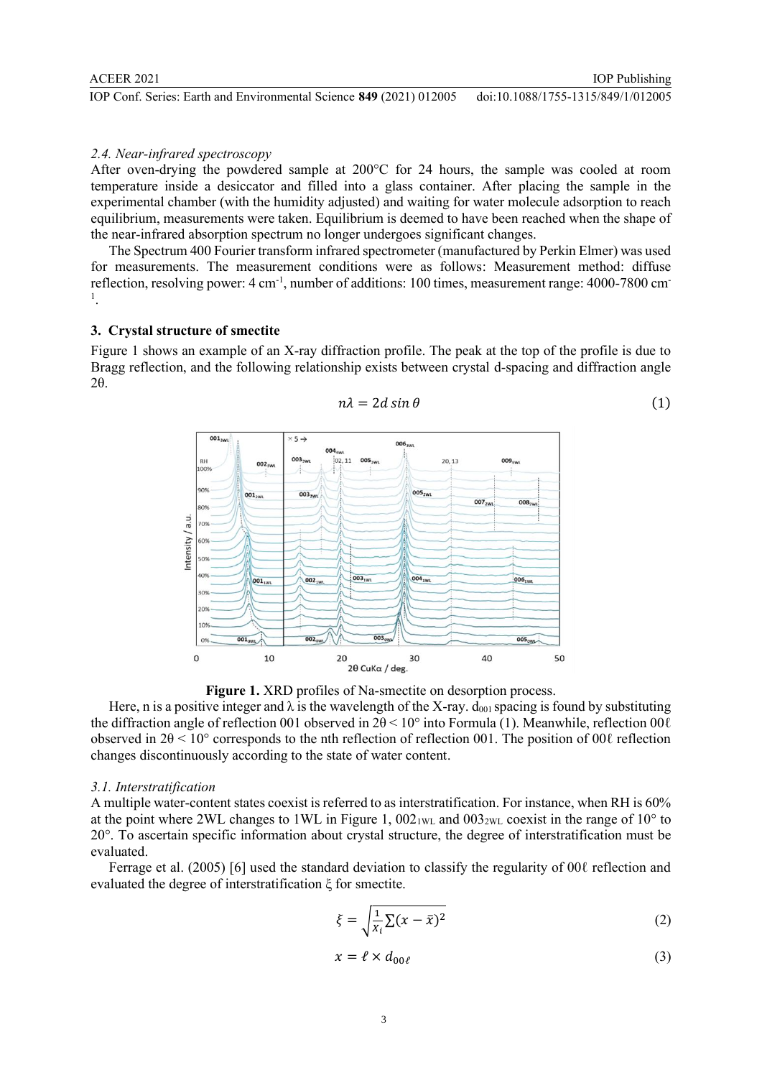IOP Conf. Series: Earth and Environmental Science **849** (2021) 012005 doi:10.1088/1755-1315/849/1/012005

## *2.4. Near-infrared spectroscopy*

After oven-drying the powdered sample at 200°C for 24 hours, the sample was cooled at room temperature inside a desiccator and filled into a glass container. After placing the sample in the experimental chamber (with the humidity adjusted) and waiting for water molecule adsorption to reach equilibrium, measurements were taken. Equilibrium is deemed to have been reached when the shape of the near-infrared absorption spectrum no longer undergoes significant changes.

The Spectrum 400 Fourier transform infrared spectrometer (manufactured by Perkin Elmer) was used for measurements. The measurement conditions were as follows: Measurement method: diffuse reflection, resolving power: 4 cm<sup>-1</sup>, number of additions: 100 times, measurement range: 4000-7800 cm<sup>-</sup> 1 .

## **3. Crystal structure of smectite**

Figure 1 shows an example of an X-ray diffraction profile. The peak at the top of the profile is due to Bragg reflection, and the following relationship exists between crystal d-spacing and diffraction angle 2θ.



$$
n\lambda = 2d \sin \theta \tag{1}
$$

IOP Publishing

**Figure 1.** XRD profiles of Na-smectite on desorption process.

Here, n is a positive integer and  $\lambda$  is the wavelength of the X-ray.  $d_{001}$  spacing is found by substituting the diffraction angle of reflection 001 observed in  $2\theta \le 10^{\circ}$  into Formula (1). Meanwhile, reflection 00 $\ell$ observed in  $2\theta \le 10^{\circ}$  corresponds to the nth reflection of reflection 001. The position of 00 $\ell$  reflection changes discontinuously according to the state of water content.

## *3.1. Interstratification*

A multiple water-content states coexist is referred to as interstratification. For instance, when RH is 60% at the point where 2WL changes to 1WL in Figure 1,  $002_{1WL}$  and  $003_{2WL}$  coexist in the range of 10° to 20°. To ascertain specific information about crystal structure, the degree of interstratification must be evaluated.

Ferrage et al. (2005) [6] used the standard deviation to classify the regularity of 00ℓ reflection and evaluated the degree of interstratification ξ for smectite.

$$
\xi = \sqrt{\frac{1}{x_i} \sum (x - \bar{x})^2}
$$
 (2)

$$
x = \ell \times d_{00\ell} \tag{3}
$$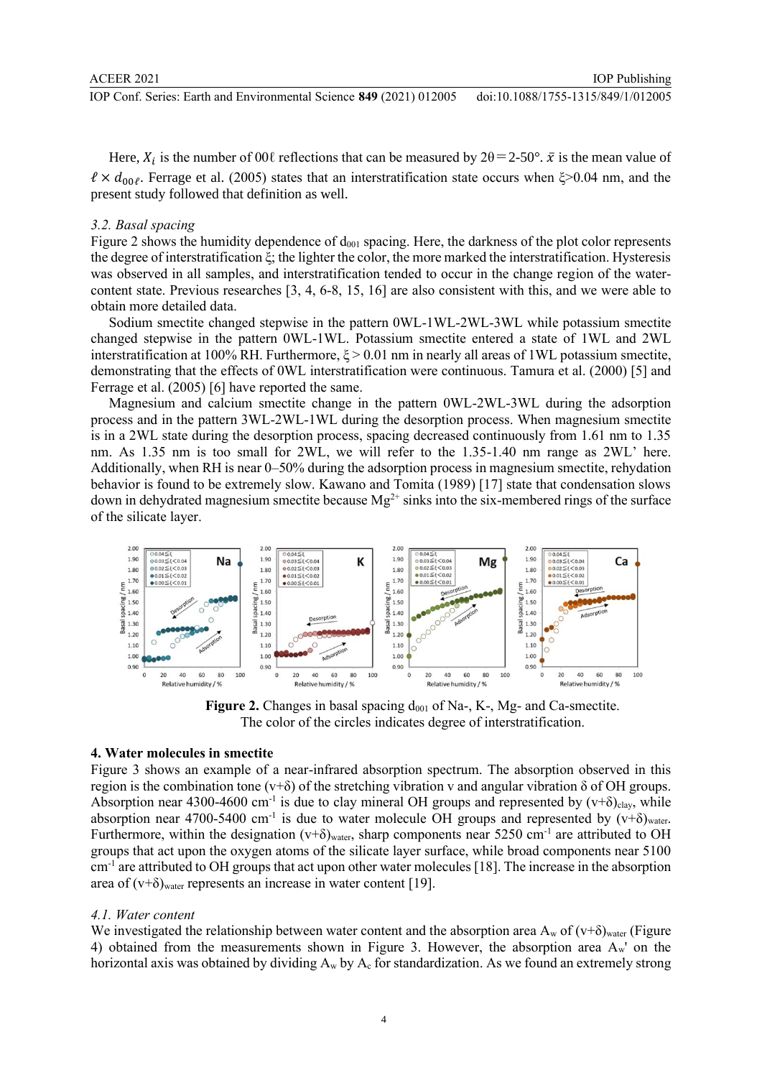IOP Publishing

Here,  $X_i$  is the number of 00 $\ell$  reflections that can be measured by  $2\theta = 2-50^\circ$ .  $\bar{x}$  is the mean value of  $\ell \times d_{00\ell}$ . Ferrage et al. (2005) states that an interstratification state occurs when  $\xi > 0.04$  nm, and the present study followed that definition as well.

## *3.2. Basal spacing*

Figure 2 shows the humidity dependence of  $d_{001}$  spacing. Here, the darkness of the plot color represents the degree of interstratification ξ; the lighter the color, the more marked the interstratification. Hysteresis was observed in all samples, and interstratification tended to occur in the change region of the watercontent state. Previous researches [3, 4, 6-8, 15, 16] are also consistent with this, and we were able to obtain more detailed data.

Sodium smectite changed stepwise in the pattern 0WL-1WL-2WL-3WL while potassium smectite changed stepwise in the pattern 0WL-1WL. Potassium smectite entered a state of 1WL and 2WL interstratification at 100% RH. Furthermore,  $\xi > 0.01$  nm in nearly all areas of 1WL potassium smectite, demonstrating that the effects of 0WL interstratification were continuous. Tamura et al. (2000) [5] and Ferrage et al. (2005) [6] have reported the same.

Magnesium and calcium smectite change in the pattern 0WL-2WL-3WL during the adsorption process and in the pattern 3WL-2WL-1WL during the desorption process. When magnesium smectite is in a 2WL state during the desorption process, spacing decreased continuously from 1.61 nm to 1.35 nm. As 1.35 nm is too small for 2WL, we will refer to the 1.35-1.40 nm range as 2WL' here. Additionally, when RH is near 0–50% during the adsorption process in magnesium smectite, rehydation behavior is found to be extremely slow. Kawano and Tomita (1989) [17] state that condensation slows down in dehydrated magnesium smectite because  $Mg^{2+}$  sinks into the six-membered rings of the surface of the silicate layer.



**Figure 2.** Changes in basal spacing  $d_{001}$  of Na-, K-, Mg- and Ca-smectite. The color of the circles indicates degree of interstratification.

### **4. Water molecules in smectite**

Figure 3 shows an example of a near-infrared absorption spectrum. The absorption observed in this region is the combination tone (v+δ) of the stretching vibration v and angular vibration δ of OH groups. Absorption near 4300-4600 cm<sup>-1</sup> is due to clay mineral OH groups and represented by  $(v+\delta)_{\text{clay}}$ , while absorption near 4700-5400 cm<sup>-1</sup> is due to water molecule OH groups and represented by  $(v+\delta)_{water}$ . Furthermore, within the designation  $(v+\delta)_{water}$ , sharp components near 5250 cm<sup>-1</sup> are attributed to OH groups that act upon the oxygen atoms of the silicate layer surface, while broad components near 5100 cm<sup>-1</sup> are attributed to OH groups that act upon other water molecules [18]. The increase in the absorption area of  $(v+\delta)_{water}$  represents an increase in water content [19].

### *4.1. Water content*

We investigated the relationship between water content and the absorption area  $A_w$  of  $(v+\delta)_{water}$  (Figure 4) obtained from the measurements shown in Figure 3. However, the absorption area Aw' on the horizontal axis was obtained by dividing  $A_w$  by  $A_c$  for standardization. As we found an extremely strong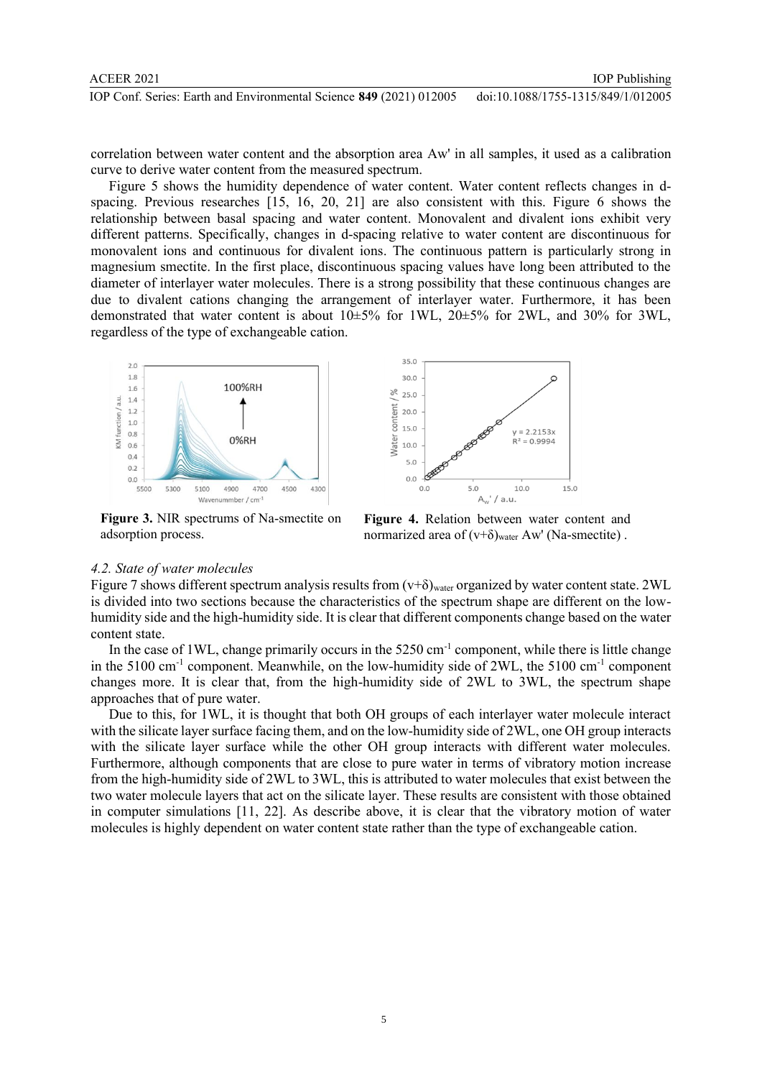correlation between water content and the absorption area Aw' in all samples, it used as a calibration curve to derive water content from the measured spectrum.

Figure 5 shows the humidity dependence of water content. Water content reflects changes in dspacing. Previous researches [15, 16, 20, 21] are also consistent with this. Figure 6 shows the relationship between basal spacing and water content. Monovalent and divalent ions exhibit very different patterns. Specifically, changes in d-spacing relative to water content are discontinuous for monovalent ions and continuous for divalent ions. The continuous pattern is particularly strong in magnesium smectite. In the first place, discontinuous spacing values have long been attributed to the diameter of interlayer water molecules. There is a strong possibility that these continuous changes are due to divalent cations changing the arrangement of interlayer water. Furthermore, it has been demonstrated that water content is about  $10\pm5\%$  for 1WL,  $20\pm5\%$  for 2WL, and 30% for 3WL, regardless of the type of exchangeable cation.



**Figure 3.** NIR spectrums of Na-smectite on adsorption process.



**Figure 4.** Relation between water content and normarized area of  $(v+\delta)_{water}$  Aw' (Na-smectite).

## *4.2. State of water molecules*

Figure 7 shows different spectrum analysis results from  $(v+\delta)_{water}$  organized by water content state. 2WL is divided into two sections because the characteristics of the spectrum shape are different on the lowhumidity side and the high-humidity side. It is clear that different components change based on the water content state.

In the case of 1WL, change primarily occurs in the 5250 cm<sup>-1</sup> component, while there is little change in the 5100 cm<sup>-1</sup> component. Meanwhile, on the low-humidity side of 2WL, the 5100 cm<sup>-1</sup> component changes more. It is clear that, from the high-humidity side of 2WL to 3WL, the spectrum shape approaches that of pure water.

Due to this, for 1WL, it is thought that both OH groups of each interlayer water molecule interact with the silicate layer surface facing them, and on the low-humidity side of 2WL, one OH group interacts with the silicate layer surface while the other OH group interacts with different water molecules. Furthermore, although components that are close to pure water in terms of vibratory motion increase from the high-humidity side of 2WL to 3WL, this is attributed to water molecules that exist between the two water molecule layers that act on the silicate layer. These results are consistent with those obtained in computer simulations [11, 22]. As describe above, it is clear that the vibratory motion of water molecules is highly dependent on water content state rather than the type of exchangeable cation.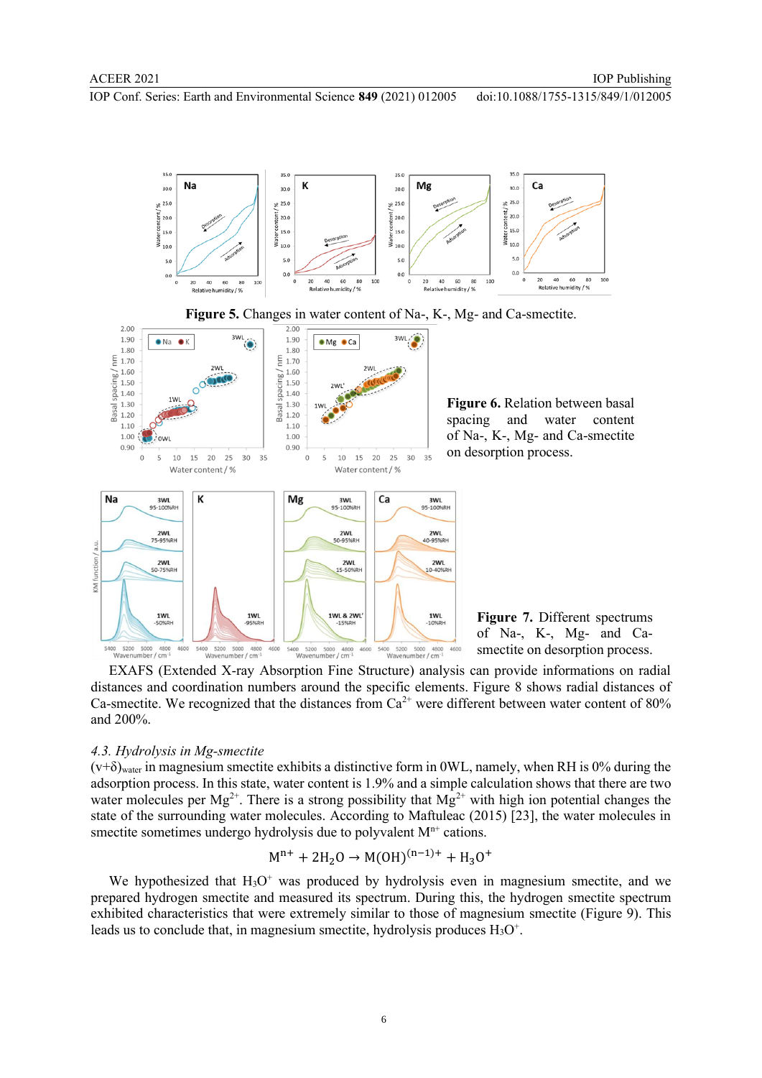$35.0$ 

Na

IOP Conf. Series: Earth and Environmental Science **849** (2021) 012005 doi:10.1088/1755-1315/849/1/012005

 $35.0$ 

35.0

К



 $35.0$ 

Ca

60

**Figure 7.** Different spectrums of Na-, K-, Mg- and Casmectite on desorption process.

EXAFS (Extended X-ray Absorption Fine Structure) analysis can provide informations on radial distances and coordination numbers around the specific elements. Figure 8 shows radial distances of Ca-smectite. We recognized that the distances from  $Ca^{2+}$  were different between water content of 80% and 200%.

## *4.3. Hydrolysis in Mg-smectite*

KM function

 $(v+\delta)_{water}$  in magnesium smectite exhibits a distinctive form in 0WL, namely, when RH is 0% during the adsorption process. In this state, water content is 1.9% and a simple calculation shows that there are two water molecules per  $Mg^{2+}$ . There is a strong possibility that  $Mg^{2+}$  with high ion potential changes the state of the surrounding water molecules. According to Maftuleac (2015) [23], the water molecules in smectite sometimes undergo hydrolysis due to polyvalent  $M<sup>n+</sup>$  cations.

$$
M^{n+} + 2H_2O \rightarrow M(OH)^{(n-1)+} + H_3O^+
$$

We hypothesized that  $H_3O^+$  was produced by hydrolysis even in magnesium smectite, and we prepared hydrogen smectite and measured its spectrum. During this, the hydrogen smectite spectrum exhibited characteristics that were extremely similar to those of magnesium smectite (Figure 9). This leads us to conclude that, in magnesium smectite, hydrolysis produces  $H_3O^+$ .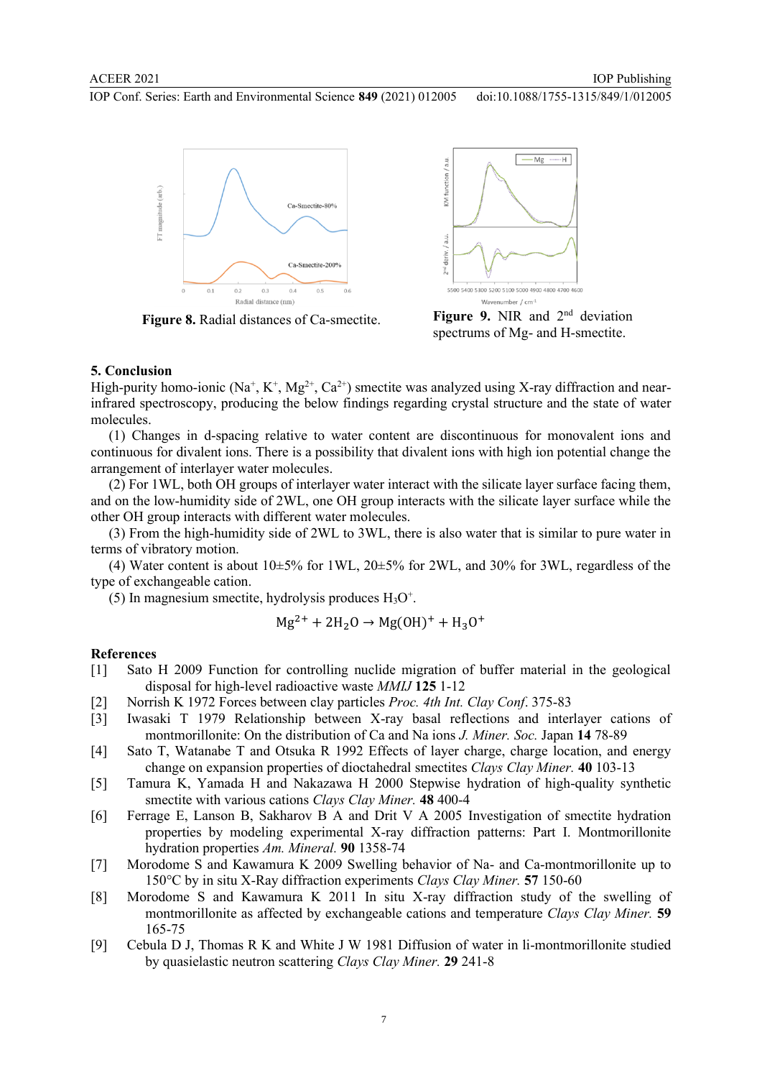IOP Conf. Series: Earth and Environmental Science **849** (2021) 012005





**Figure 8.** Radial distances of Ca-smectite. **Figure 9.** NIR and 2<sup>nd</sup> deviation spectrums of Mg- and H-smectite.

## **5. Conclusion**

High-purity homo-ionic (Na<sup>+</sup>, K<sup>+</sup>, Mg<sup>2+</sup>, Ca<sup>2+</sup>) smectite was analyzed using X-ray diffraction and nearinfrared spectroscopy, producing the below findings regarding crystal structure and the state of water molecules.

(1) Changes in d-spacing relative to water content are discontinuous for monovalent ions and continuous for divalent ions. There is a possibility that divalent ions with high ion potential change the arrangement of interlayer water molecules.

(2) For 1WL, both OH groups of interlayer water interact with the silicate layer surface facing them, and on the low-humidity side of 2WL, one OH group interacts with the silicate layer surface while the other OH group interacts with different water molecules.

(3) From the high-humidity side of 2WL to 3WL, there is also water that is similar to pure water in terms of vibratory motion.

(4) Water content is about  $10\pm5\%$  for 1WL,  $20\pm5\%$  for 2WL, and 30% for 3WL, regardless of the type of exchangeable cation.

(5) In magnesium smectite, hydrolysis produces  $H_3O^+$ .

$$
Mg^{2+} + 2H_2O \rightarrow Mg(OH)^+ + H_3O^+
$$

#### **References**

- [1] Sato H 2009 Function for controlling nuclide migration of buffer material in the geological disposal for high-level radioactive waste *MMIJ* **125** 1-12
- [2] Norrish K 1972 Forces between clay particles *Proc. 4th Int. Clay Conf*. 375-83
- [3] Iwasaki T 1979 Relationship between X-ray basal reflections and interlayer cations of montmorillonite: On the distribution of Ca and Na ions *J. Miner. Soc.* Japan **14** 78-89
- [4] Sato T, Watanabe T and Otsuka R 1992 Effects of layer charge, charge location, and energy change on expansion properties of dioctahedral smectites *Clays Clay Miner.* **40** 103-13
- [5] Tamura K, Yamada H and Nakazawa H 2000 Stepwise hydration of high-quality synthetic smectite with various cations *Clays Clay Miner.* **48** 400-4
- [6] Ferrage E, Lanson B, Sakharov B A and Drit V A 2005 Investigation of smectite hydration properties by modeling experimental X-ray diffraction patterns: Part I. Montmorillonite hydration properties *Am. Mineral.* **90** 1358-74
- [7] Morodome S and Kawamura K 2009 Swelling behavior of Na- and Ca-montmorillonite up to 150°C by in situ X-Ray diffraction experiments *Clays Clay Miner.* **57** 150-60
- [8] Morodome S and Kawamura K 2011 In situ X-ray diffraction study of the swelling of montmorillonite as affected by exchangeable cations and temperature *Clays Clay Miner.* **59** 165-75
- [9] Cebula D J, Thomas R K and White J W 1981 Diffusion of water in li-montmorillonite studied by quasielastic neutron scattering *Clays Clay Miner.* **29** 241-8